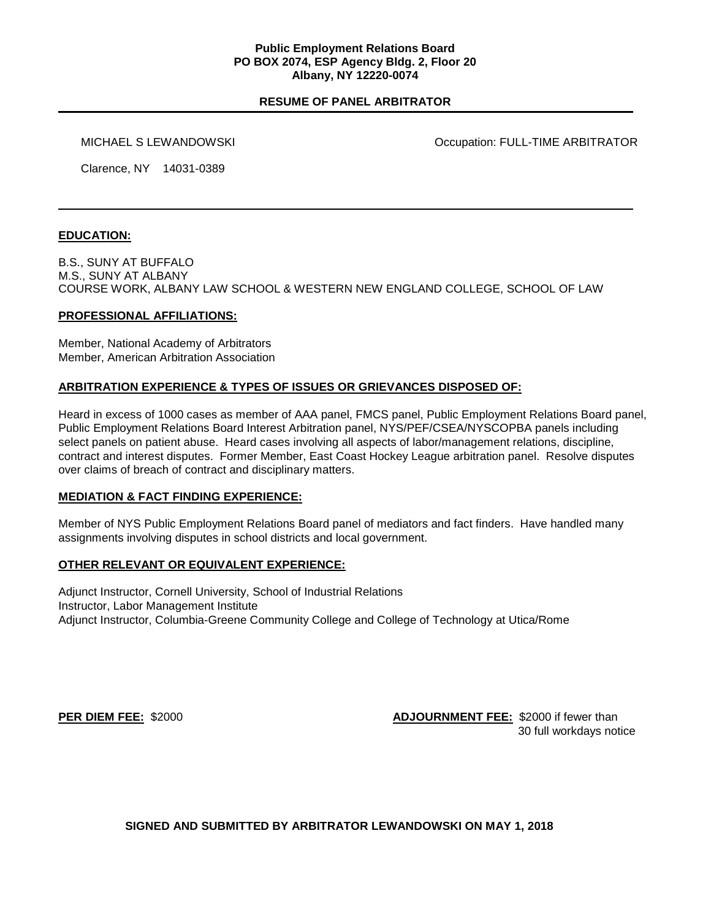#### **Public Employment Relations Board PO BOX 2074, ESP Agency Bldg. 2, Floor 20 Albany, NY 12220-0074**

# **RESUME OF PANEL ARBITRATOR**

MICHAEL S LEWANDOWSKI Occupation: FULL-TIME ARBITRATOR

Clarence, NY 14031-0389

## **EDUCATION:**

B.S., SUNY AT BUFFALO M.S., SUNY AT ALBANY COURSE WORK, ALBANY LAW SCHOOL & WESTERN NEW ENGLAND COLLEGE, SCHOOL OF LAW

### **PROFESSIONAL AFFILIATIONS:**

Member, National Academy of Arbitrators Member, American Arbitration Association

## **ARBITRATION EXPERIENCE & TYPES OF ISSUES OR GRIEVANCES DISPOSED OF:**

Heard in excess of 1000 cases as member of AAA panel, FMCS panel, Public Employment Relations Board panel, Public Employment Relations Board Interest Arbitration panel, NYS/PEF/CSEA/NYSCOPBA panels including select panels on patient abuse. Heard cases involving all aspects of labor/management relations, discipline, contract and interest disputes. Former Member, East Coast Hockey League arbitration panel. Resolve disputes over claims of breach of contract and disciplinary matters.

### **MEDIATION & FACT FINDING EXPERIENCE:**

Member of NYS Public Employment Relations Board panel of mediators and fact finders. Have handled many assignments involving disputes in school districts and local government.

### **OTHER RELEVANT OR EQUIVALENT EXPERIENCE:**

Adjunct Instructor, Cornell University, School of Industrial Relations Instructor, Labor Management Institute Adjunct Instructor, Columbia-Greene Community College and College of Technology at Utica/Rome

**PER DIEM FEE:** \$2000 **ADJOURNMENT FEE:** \$2000 if fewer than 30 full workdays notice

**SIGNED AND SUBMITTED BY ARBITRATOR LEWANDOWSKI ON MAY 1, 2018**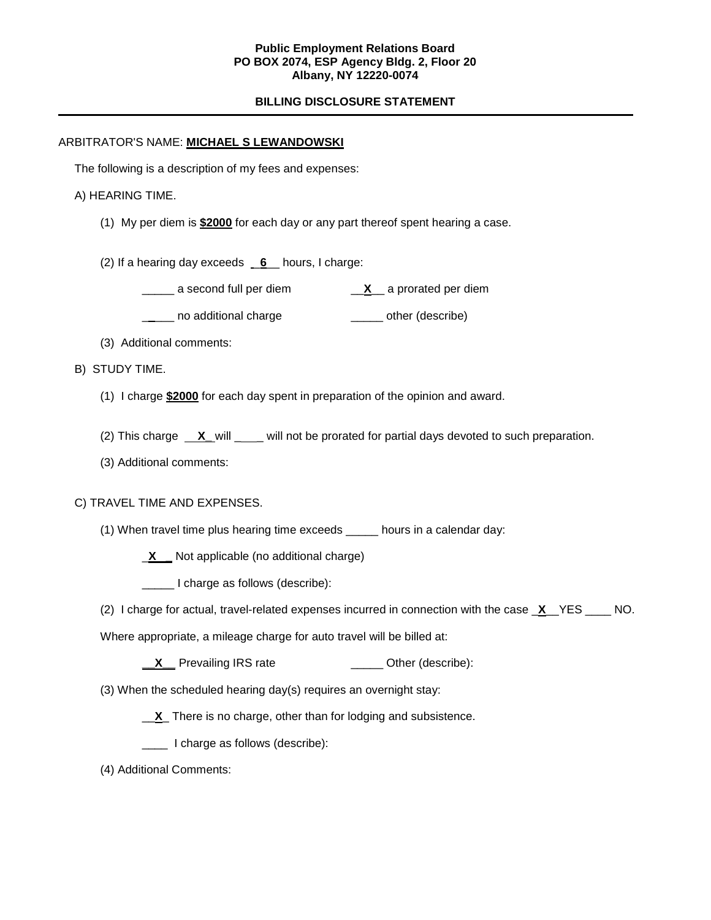## **Public Employment Relations Board PO BOX 2074, ESP Agency Bldg. 2, Floor 20 Albany, NY 12220-0074**

# **BILLING DISCLOSURE STATEMENT**

## ARBITRATOR'S NAME: **MICHAEL S LEWANDOWSKI**

The following is a description of my fees and expenses:

## A) HEARING TIME.

- (1) My per diem is **\$2000** for each day or any part thereof spent hearing a case.
- (2) If a hearing day exceeds \_**6**\_\_ hours, I charge:
	- \_\_\_\_\_ a second full per diem \_\_**X**\_\_ a prorated per diem
	- **\_\_\_\_** no additional charge **\_\_\_\_\_** other (describe)
- (3) Additional comments:

## B) STUDY TIME.

- (1) I charge **\$2000** for each day spent in preparation of the opinion and award.
- (2) This charge **X\_** will \_\_\_ will not be prorated for partial days devoted to such preparation.
- (3) Additional comments:

### C) TRAVEL TIME AND EXPENSES.

- (1) When travel time plus hearing time exceeds \_\_\_\_\_ hours in a calendar day:
	- \_**X \_** Not applicable (no additional charge)
	- I charge as follows (describe):
- (2) I charge for actual, travel-related expenses incurred in connection with the case \_**X**\_\_YES \_\_\_\_ NO.
- Where appropriate, a mileage charge for auto travel will be billed at:
	- **X** Prevailing IRS rate **\_\_\_\_** Other (describe):
- (3) When the scheduled hearing day(s) requires an overnight stay:
	- \_\_**X**\_ There is no charge, other than for lodging and subsistence.
	- \_\_\_\_ I charge as follows (describe):
- (4) Additional Comments: